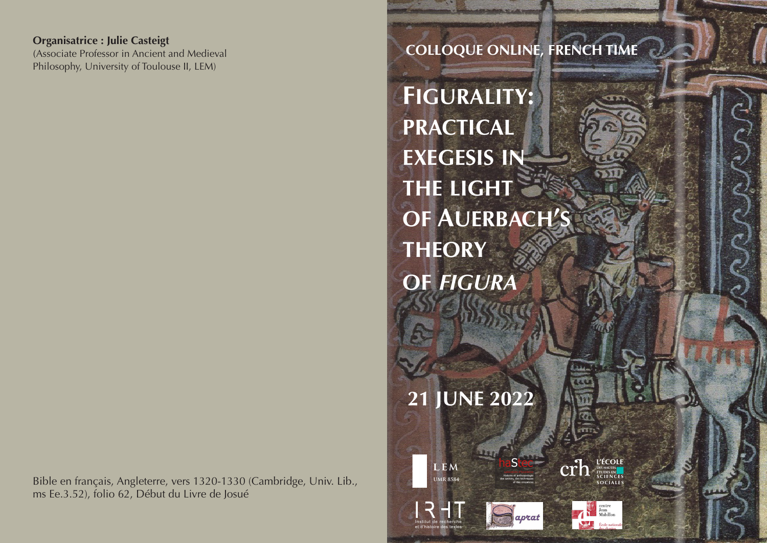Goodiate Professor in Ancient and Medieval Philosophy, University of Toulouse II, LEM) produce in the comparison of  $\Gamma$ **Organisatrice : Julie Casteigt**

Bible en français, Angleterre, vers 1320-1330 (Cambridge, Univ. Lib., ms Ee.3.52), folio 62, Début du Livre de Josué

# **COLLOQUE ONLINE, FRENCH TIME**

**Figurality: practical exegesis in the light of Auerbach's theory of** *figura*

22 et 23 juin 2010

**21 JUNE 2022**

1922

Histoire et anthropologie des savoirs, des techniques et des croyances

**L'ÉCOLE DES HAUTES ÉTUDES EN**

haStec

**LEM UMR 8584**

Institut de recherche et d'histoire des textes